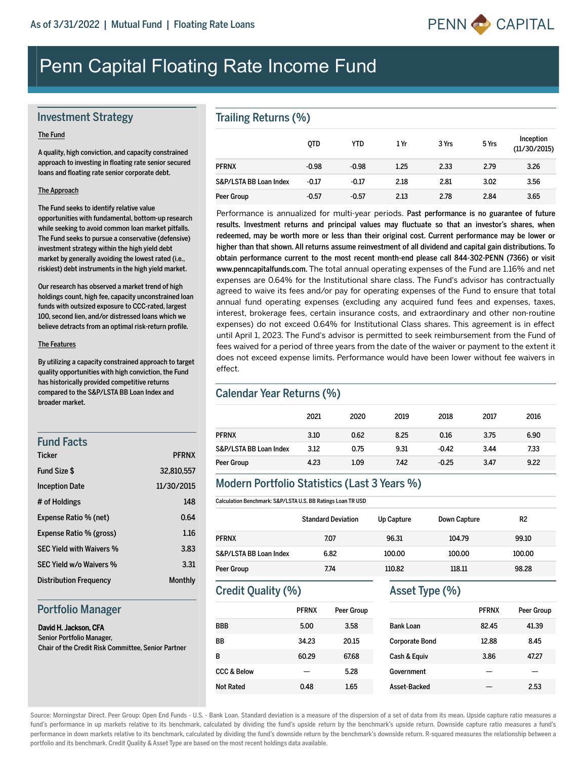

# Penn Capital Floating Rate Income Fund

## Investment Strategy

#### The Fund

A quality, high conviction, and capacity constrained approach to investing in floating rate senior secured loans and floating rate senior corporate debt.

#### The Approach

The Fund seeks to identify relative value opportunities with fundamental, bottom-up research while seeking to avoid common loan market pitfalls. The Fund seeks to pursue a conservative (defensive) investment strategy within the high yield debt market by generally avoiding the lowest rated (i.e., riskiest) debt instruments in the high yield market.

Our research has observed a market trend of high holdings count, high fee, capacity unconstrained loan funds with outsized exposure to CCC-rated, largest 100, second lien, and/or distressed loans which we believe detracts from an optimal risk-return profile.

#### The Features

By utilizing a capacity constrained approach to target quality opportunities with high conviction, the Fund has historically provided competitive returns compared to the S&P/LSTA BB Loan Index and broader market.

## Fund Facts

| <b>Ticker</b>                   | <b>PFRNX</b> |
|---------------------------------|--------------|
| Fund Size \$                    | 32,810,557   |
| <b>Inception Date</b>           | 11/30/2015   |
| # of Holdings                   | 148          |
| Expense Ratio % (net)           | 0.64         |
| Expense Ratio % (gross)         | 1.16         |
| <b>SEC Yield with Waivers %</b> | 3.83         |
| SEC Yield w/o Waivers %         | 3.31         |
| <b>Distribution Frequency</b>   | Monthly      |

#### Portfolio Manager

#### David H. Jackson, CFA Senior Portfolio Manager,

Chair of the Credit Risk Committee, Senior Partner

#### Trailing Returns (%)

|                        | <b>OTD</b> | YTD     | 1 Yr | 3 Yrs | 5 Yrs | Inception<br>(11/30/2015) |
|------------------------|------------|---------|------|-------|-------|---------------------------|
| <b>PFRNX</b>           | $-0.98$    | $-0.98$ | 1.25 | 2.33  | 2.79  | 3.26                      |
| S&P/LSTA BB Loan Index | $-0.17$    | $-0.17$ | 2.18 | 2.81  | 3.02  | 3.56                      |
| Peer Group             | $-0.57$    | $-0.57$ | 2.13 | 2.78  | 2.84  | 3.65                      |

Performance is annualized for multi-year periods. Past performance is no guarantee of future results. Investment returns and principal values may fluctuate so that an investor's shares, when redeemed, may be worth more or less than their original cost. Current performance may be lower or higher than that shown. All returns assume reinvestment of all dividend and capital gain distributions. To obtain performance current to the most recent month-end please call 844-302-PENN (7366) or visit www.penncapitalfunds.com. The total annual operating expenses of the Fund are 1.16% and net expenses are 0.64% for the Institutional share class. The Fund's advisor has contractually agreed to waive its fees and/or pay for operating expenses of the Fund to ensure that total annual fund operating expenses (excluding any acquired fund fees and expenses, taxes, interest, brokerage fees, certain insurance costs, and extraordinary and other nonroutine expenses) do not exceed 0.64% for Institutional Class shares. This agreement is in effect until April 1, 2023. The Fund's advisor is permitted to seek reimbursement from the Fund of fees waived for a period of three years from the date of the waiver or payment to the extent it does not exceed expense limits. Performance would have been lower without fee waivers in effect.

#### Calendar Year Returns (%)

|                        | 2021 | 2020 | 2019 | 2018    | 2017 | 2016 |
|------------------------|------|------|------|---------|------|------|
| <b>PFRNX</b>           | 3.10 | 0.62 | 8.25 | 0.16    | 3.75 | 6.90 |
| S&P/LSTA BB Loan Index | 3.12 | 0.75 | 9.31 | $-0.42$ | 3.44 | 7.33 |
| Peer Group             | 4.23 | 1.09 | 7.42 | $-0.25$ | 3.47 | 9.22 |

#### Modern Portfolio Statistics (Last 3 Years %)

Calculation Benchmark: S&P/LSTA U.S. BB Ratings Loan TR USD

|                        | <b>Standard Deviation</b> | Up Capture | Down Capture | R <sub>2</sub> |
|------------------------|---------------------------|------------|--------------|----------------|
| <b>PFRNX</b>           | 7.07                      | 96.31      | 104.79       | 99.10          |
| S&P/LSTA BB Loan Index | 6.82                      | 100.00     | 100.00       | 100.00         |
| Peer Group             | 7.74                      | 110.82     | 118.11       | 98.28          |

# Credit Quality (%)

|                        | <b>PFRNX</b> | <b>Peer Group</b> |
|------------------------|--------------|-------------------|
| BBB                    | 5.00         | 3.58              |
| ВB                     | 34.23        | 20.15             |
| B                      | 60.29        | 67.68             |
| <b>CCC &amp; Below</b> |              | 5.28              |
| Not Rated              | 0.48         | 1.65              |

## Asset Type (%)

|                       | <b>PFRNX</b> | <b>Peer Group</b> |
|-----------------------|--------------|-------------------|
| <b>Bank Loan</b>      | 82.45        | 41.39             |
| <b>Corporate Bond</b> | 12.88        | 8.45              |
| Cash & Equiv          | 3.86         | 47.27             |
| Government            |              |                   |
| Asset-Backed          |              | 2.53              |

Source: Morningstar Direct. Peer Group: Open End Funds - U.S. - Bank Loan. Standard deviation is a measure of the dispersion of a set of data from its mean. Upside capture ratio measures a fund's performance in up markets relative to its benchmark, calculated by dividing the fund's upside return by the benchmark's upside return. Downside capture ratio measures a fund's performance in down markets relative to its benchmark, calculated by dividing the fund's downside return by the benchmark's downside return. R-squared measures the relationship between a portfolio and its benchmark. Credit Quality & Asset Type are based on the most recent holdings data available.